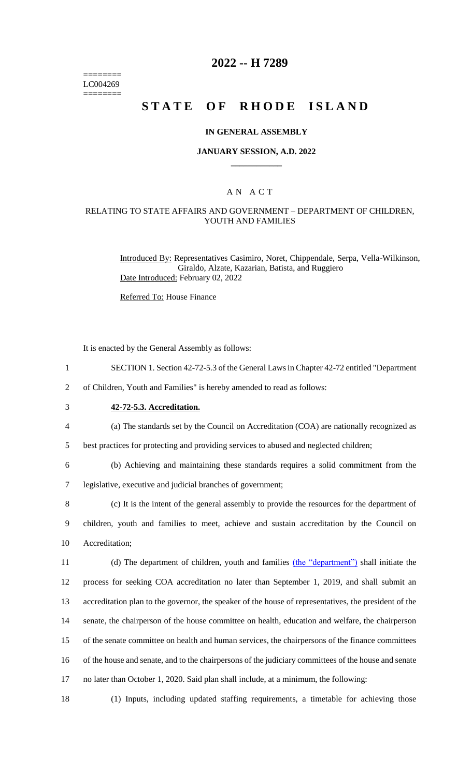======== LC004269 ========

## **2022 -- H 7289**

# **STATE OF RHODE ISLAND**

#### **IN GENERAL ASSEMBLY**

#### **JANUARY SESSION, A.D. 2022 \_\_\_\_\_\_\_\_\_\_\_\_**

## A N A C T

#### RELATING TO STATE AFFAIRS AND GOVERNMENT – DEPARTMENT OF CHILDREN, YOUTH AND FAMILIES

Introduced By: Representatives Casimiro, Noret, Chippendale, Serpa, Vella-Wilkinson, Giraldo, Alzate, Kazarian, Batista, and Ruggiero Date Introduced: February 02, 2022

Referred To: House Finance

It is enacted by the General Assembly as follows:

- 1 SECTION 1. Section 42-72-5.3 of the General Laws in Chapter 42-72 entitled "Department
- 2 of Children, Youth and Families" is hereby amended to read as follows:
- 

3 **42-72-5.3. Accreditation.**

4 (a) The standards set by the Council on Accreditation (COA) are nationally recognized as

5 best practices for protecting and providing services to abused and neglected children;

6 (b) Achieving and maintaining these standards requires a solid commitment from the

7 legislative, executive and judicial branches of government;

8 (c) It is the intent of the general assembly to provide the resources for the department of 9 children, youth and families to meet, achieve and sustain accreditation by the Council on 10 Accreditation;

11 (d) The department of children, youth and families (the "department") shall initiate the process for seeking COA accreditation no later than September 1, 2019, and shall submit an accreditation plan to the governor, the speaker of the house of representatives, the president of the senate, the chairperson of the house committee on health, education and welfare, the chairperson of the senate committee on health and human services, the chairpersons of the finance committees of the house and senate, and to the chairpersons of the judiciary committees of the house and senate no later than October 1, 2020. Said plan shall include, at a minimum, the following:

18 (1) Inputs, including updated staffing requirements, a timetable for achieving those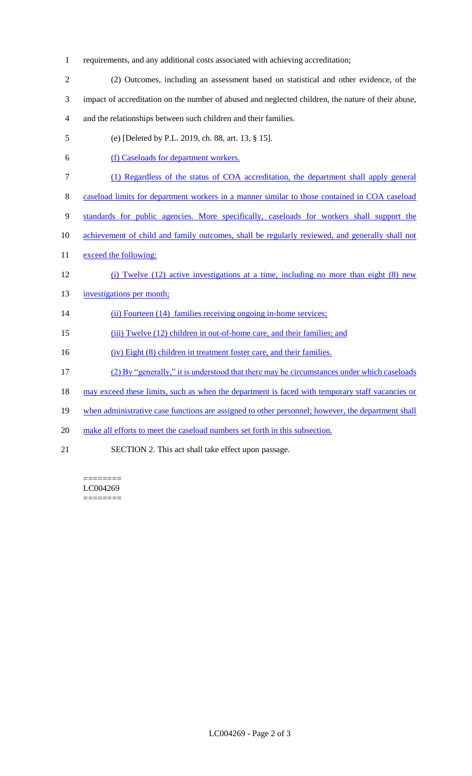- 1 requirements, and any additional costs associated with achieving accreditation;
- 2 (2) Outcomes, including an assessment based on statistical and other evidence, of the 3 impact of accreditation on the number of abused and neglected children, the nature of their abuse, 4 and the relationships between such children and their families.
- 5 (e) [Deleted by P.L. 2019, ch. 88, art. 13, § 15].
- 6 (f) Caseloads for department workers.
- 7 (1) Regardless of the status of COA accreditation, the department shall apply general
- 8 caseload limits for department workers in a manner similar to those contained in COA caseload
- 9 standards for public agencies. More specifically, caseloads for workers shall support the
- 10 achievement of child and family outcomes, shall be regularly reviewed, and generally shall not
- 11 exceed the following:
- 12 (i) Twelve (12) active investigations at a time, including no more than eight (8) new
- 13 investigations per month;
- 14 (ii) Fourteen (14) families receiving ongoing in-home services;
- 15 (iii) Twelve (12) children in out-of-home care, and their families; and
- 16 (iv) Eight (8) children in treatment foster care, and their families.
- 17 (2) By "generally," it is understood that there may be circumstances under which caseloads
- 18 may exceed these limits, such as when the department is faced with temporary staff vacancies or
- 19 when administrative case functions are assigned to other personnel; however, the department shall
- 20 make all efforts to meet the caseload numbers set forth in this subsection.
- 21 SECTION 2. This act shall take effect upon passage.

======== LC004269 ========